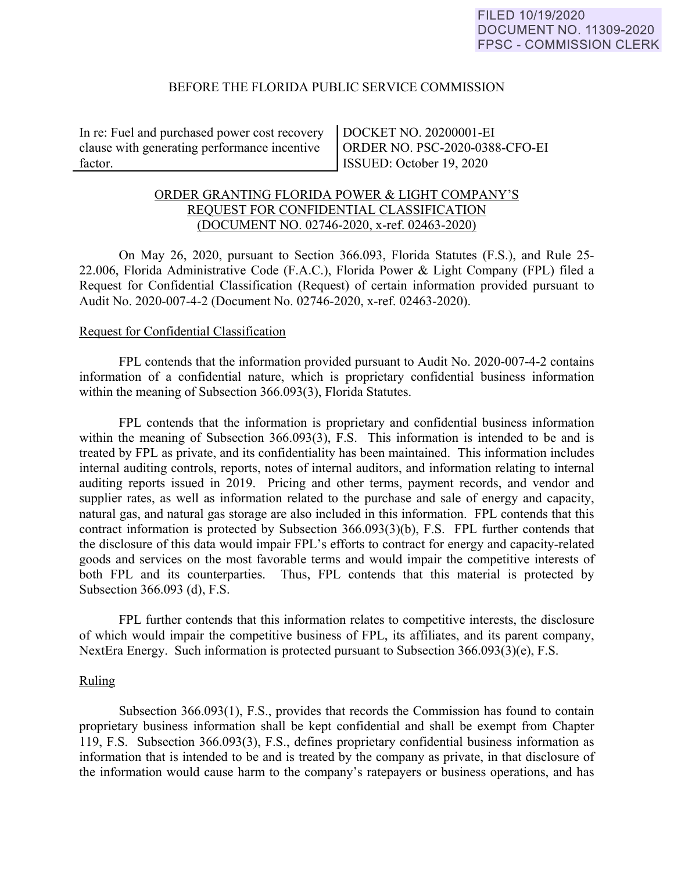## BEFORE THE FLORIDA PUBLIC SERVICE COMMISSION

In re: Fuel and purchased power cost recovery clause with generating performance incentive factor.

DOCKET NO. 20200001-EI ORDER NO. PSC-2020-0388-CFO-EI ISSUED: October 19, 2020

# ORDER GRANTING FLORIDA POWER & LIGHT COMPANY'S REQUEST FOR CONFIDENTIAL CLASSIFICATION (DOCUMENT NO. 02746-2020, x-ref. 02463-2020)

On May 26, 2020, pursuant to Section 366.093, Florida Statutes (F.S.), and Rule 25- 22.006, Florida Administrative Code (F.A.C.), Florida Power & Light Company (FPL) filed a Request for Confidential Classification (Request) of certain information provided pursuant to Audit No. 2020-007-4-2 (Document No. 02746-2020, x-ref. 02463-2020).

## Request for Confidential Classification

 FPL contends that the information provided pursuant to Audit No. 2020-007-4-2 contains information of a confidential nature, which is proprietary confidential business information within the meaning of Subsection 366.093(3), Florida Statutes.

FPL contends that the information is proprietary and confidential business information within the meaning of Subsection 366.093(3), F.S. This information is intended to be and is treated by FPL as private, and its confidentiality has been maintained. This information includes internal auditing controls, reports, notes of internal auditors, and information relating to internal auditing reports issued in 2019. Pricing and other terms, payment records, and vendor and supplier rates, as well as information related to the purchase and sale of energy and capacity, natural gas, and natural gas storage are also included in this information. FPL contends that this contract information is protected by Subsection 366.093(3)(b), F.S. FPL further contends that the disclosure of this data would impair FPL's efforts to contract for energy and capacity-related goods and services on the most favorable terms and would impair the competitive interests of both FPL and its counterparties. Thus, FPL contends that this material is protected by Subsection 366.093 (d), F.S.

FPL further contends that this information relates to competitive interests, the disclosure of which would impair the competitive business of FPL, its affiliates, and its parent company, NextEra Energy. Such information is protected pursuant to Subsection 366.093(3)(e), F.S.

#### Ruling

Subsection 366.093(1), F.S., provides that records the Commission has found to contain proprietary business information shall be kept confidential and shall be exempt from Chapter 119, F.S. Subsection 366.093(3), F.S., defines proprietary confidential business information as information that is intended to be and is treated by the company as private, in that disclosure of the information would cause harm to the company's ratepayers or business operations, and has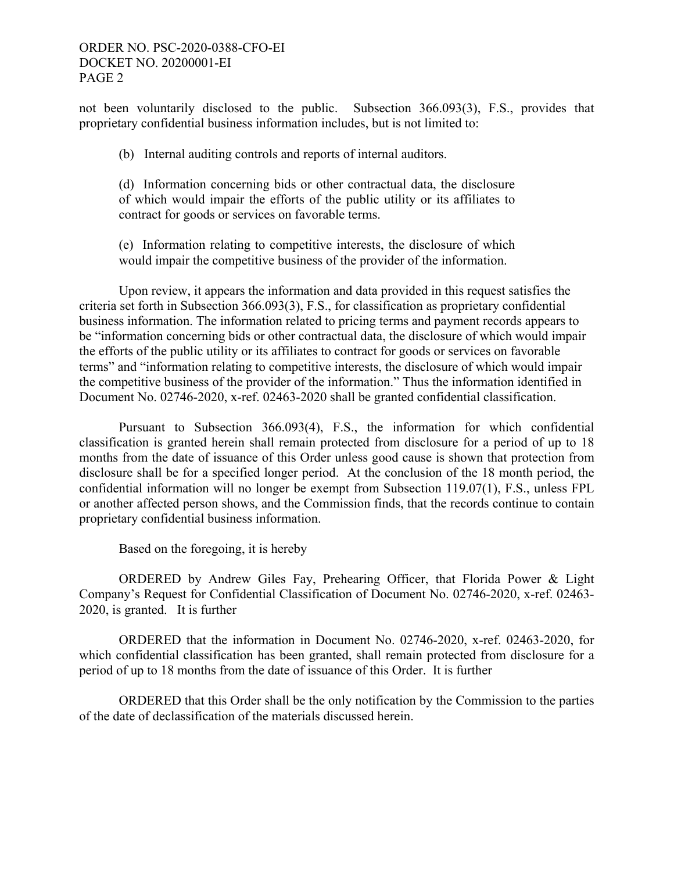# ORDER NO. PSC-2020-0388-CFO-EI DOCKET NO. 20200001-EI PAGE 2

not been voluntarily disclosed to the public. Subsection 366.093(3), F.S., provides that proprietary confidential business information includes, but is not limited to:

(b) Internal auditing controls and reports of internal auditors.

(d) Information concerning bids or other contractual data, the disclosure of which would impair the efforts of the public utility or its affiliates to contract for goods or services on favorable terms.

(e) Information relating to competitive interests, the disclosure of which would impair the competitive business of the provider of the information.

 Upon review, it appears the information and data provided in this request satisfies the criteria set forth in Subsection 366.093(3), F.S., for classification as proprietary confidential business information. The information related to pricing terms and payment records appears to be "information concerning bids or other contractual data, the disclosure of which would impair the efforts of the public utility or its affiliates to contract for goods or services on favorable terms" and "information relating to competitive interests, the disclosure of which would impair the competitive business of the provider of the information." Thus the information identified in Document No. 02746-2020, x-ref. 02463-2020 shall be granted confidential classification.

Pursuant to Subsection 366.093(4), F.S., the information for which confidential classification is granted herein shall remain protected from disclosure for a period of up to 18 months from the date of issuance of this Order unless good cause is shown that protection from disclosure shall be for a specified longer period. At the conclusion of the 18 month period, the confidential information will no longer be exempt from Subsection 119.07(1), F.S., unless FPL or another affected person shows, and the Commission finds, that the records continue to contain proprietary confidential business information.

Based on the foregoing, it is hereby

 ORDERED by Andrew Giles Fay, Prehearing Officer, that Florida Power & Light Company's Request for Confidential Classification of Document No. 02746-2020, x-ref. 02463- 2020, is granted. It is further

 ORDERED that the information in Document No. 02746-2020, x-ref. 02463-2020, for which confidential classification has been granted, shall remain protected from disclosure for a period of up to 18 months from the date of issuance of this Order. It is further

 ORDERED that this Order shall be the only notification by the Commission to the parties of the date of declassification of the materials discussed herein.